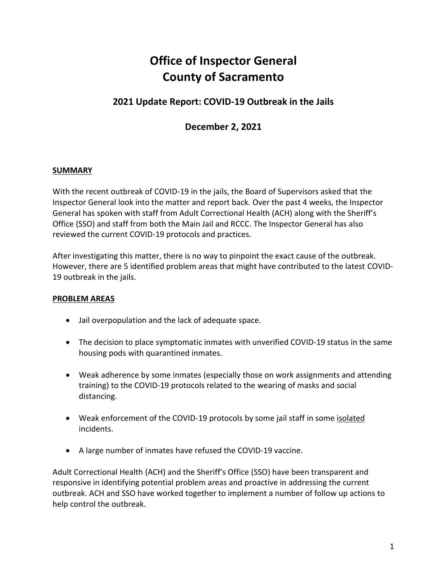# **Office of Inspector General County of Sacramento**

## **2021 Update Report: COVID-19 Outbreak in the Jails**

## **December 2, 2021**

#### **SUMMARY**

With the recent outbreak of COVID-19 in the jails, the Board of Supervisors asked that the Inspector General look into the matter and report back. Over the past 4 weeks, the Inspector General has spoken with staff from Adult Correctional Health (ACH) along with the Sheriff's Office (SSO) and staff from both the Main Jail and RCCC. The Inspector General has also reviewed the current COVID-19 protocols and practices.

After investigating this matter, there is no way to pinpoint the exact cause of the outbreak. However, there are 5 identified problem areas that might have contributed to the latest COVID-19 outbreak in the jails.

#### **PROBLEM AREAS**

- Jail overpopulation and the lack of adequate space.
- The decision to place symptomatic inmates with unverified COVID-19 status in the same housing pods with quarantined inmates.
- Weak adherence by some inmates (especially those on work assignments and attending training) to the COVID-19 protocols related to the wearing of masks and social distancing.
- Weak enforcement of the COVID-19 protocols by some jail staff in some isolated incidents.
- A large number of inmates have refused the COVID-19 vaccine.

Adult Correctional Health (ACH) and the Sheriff's Office (SSO) have been transparent and responsive in identifying potential problem areas and proactive in addressing the current outbreak. ACH and SSO have worked together to implement a number of follow up actions to help control the outbreak.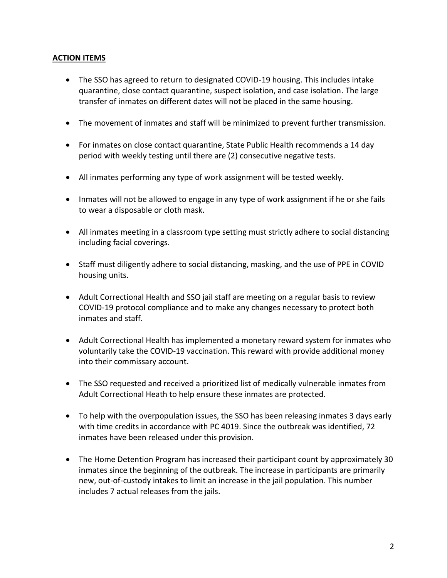#### **ACTION ITEMS**

- The SSO has agreed to return to designated COVID-19 housing. This includes intake quarantine, close contact quarantine, suspect isolation, and case isolation. The large transfer of inmates on different dates will not be placed in the same housing.
- The movement of inmates and staff will be minimized to prevent further transmission.
- For inmates on close contact quarantine, State Public Health recommends a 14 day period with weekly testing until there are (2) consecutive negative tests.
- All inmates performing any type of work assignment will be tested weekly.
- Inmates will not be allowed to engage in any type of work assignment if he or she fails to wear a disposable or cloth mask.
- All inmates meeting in a classroom type setting must strictly adhere to social distancing including facial coverings.
- Staff must diligently adhere to social distancing, masking, and the use of PPE in COVID housing units.
- Adult Correctional Health and SSO jail staff are meeting on a regular basis to review COVID-19 protocol compliance and to make any changes necessary to protect both inmates and staff.
- Adult Correctional Health has implemented a monetary reward system for inmates who voluntarily take the COVID-19 vaccination. This reward with provide additional money into their commissary account.
- The SSO requested and received a prioritized list of medically vulnerable inmates from Adult Correctional Heath to help ensure these inmates are protected.
- To help with the overpopulation issues, the SSO has been releasing inmates 3 days early with time credits in accordance with PC 4019. Since the outbreak was identified, 72 inmates have been released under this provision.
- The Home Detention Program has increased their participant count by approximately 30 inmates since the beginning of the outbreak. The increase in participants are primarily new, out-of-custody intakes to limit an increase in the jail population. This number includes 7 actual releases from the jails.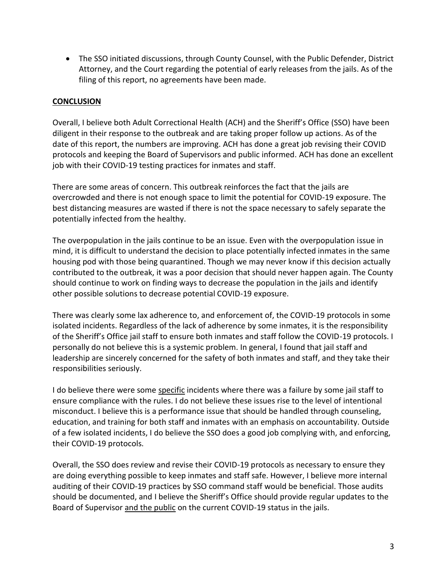The SSO initiated discussions, through County Counsel, with the Public Defender, District Attorney, and the Court regarding the potential of early releases from the jails. As of the filing of this report, no agreements have been made.

#### **CONCLUSION**

Overall, I believe both Adult Correctional Health (ACH) and the Sheriff's Office (SSO) have been diligent in their response to the outbreak and are taking proper follow up actions. As of the date of this report, the numbers are improving. ACH has done a great job revising their COVID protocols and keeping the Board of Supervisors and public informed. ACH has done an excellent job with their COVID-19 testing practices for inmates and staff.

There are some areas of concern. This outbreak reinforces the fact that the jails are overcrowded and there is not enough space to limit the potential for COVID-19 exposure. The best distancing measures are wasted if there is not the space necessary to safely separate the potentially infected from the healthy.

The overpopulation in the jails continue to be an issue. Even with the overpopulation issue in mind, it is difficult to understand the decision to place potentially infected inmates in the same housing pod with those being quarantined. Though we may never know if this decision actually contributed to the outbreak, it was a poor decision that should never happen again. The County should continue to work on finding ways to decrease the population in the jails and identify other possible solutions to decrease potential COVID-19 exposure.

There was clearly some lax adherence to, and enforcement of, the COVID-19 protocols in some isolated incidents. Regardless of the lack of adherence by some inmates, it is the responsibility of the Sheriff's Office jail staff to ensure both inmates and staff follow the COVID-19 protocols. I personally do not believe this is a systemic problem. In general, I found that jail staff and leadership are sincerely concerned for the safety of both inmates and staff, and they take their responsibilities seriously.

I do believe there were some specific incidents where there was a failure by some jail staff to ensure compliance with the rules. I do not believe these issues rise to the level of intentional misconduct. I believe this is a performance issue that should be handled through counseling, education, and training for both staff and inmates with an emphasis on accountability. Outside of a few isolated incidents, I do believe the SSO does a good job complying with, and enforcing, their COVID-19 protocols.

Overall, the SSO does review and revise their COVID-19 protocols as necessary to ensure they are doing everything possible to keep inmates and staff safe. However, I believe more internal auditing of their COVID-19 practices by SSO command staff would be beneficial. Those audits should be documented, and I believe the Sheriff's Office should provide regular updates to the Board of Supervisor and the public on the current COVID-19 status in the jails.